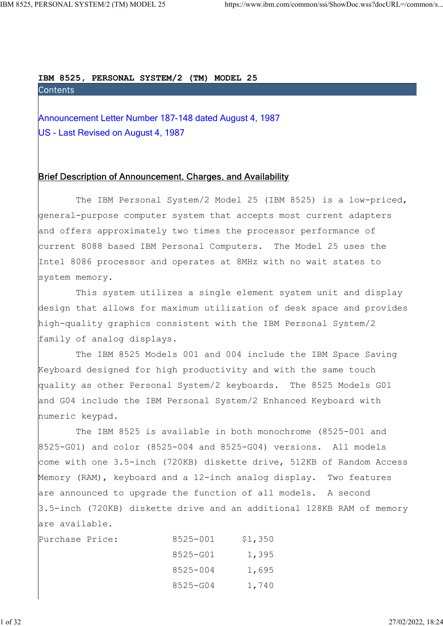IBM 8525, PERSONAL SYSTEM/2 (TM) MODEL 25

ERSONAL SYSTEM/2 (TM) MODEL 25<br>
https://www.ibm.com/common/ssi/ShowDoc.wss?decURL=/common/s<br> **Announcement Letter Number 187-148 dated August 4, 1987**<br>
US - Last Revised on August 4, 1987 US - Last Revised on August 4, 1987

## Brief Description of Announcement, Charges, and Availability

 The IBM Personal System/2 Model 25 (IBM 8525) is a low-priced, general-purpose computer system that accepts most current adapters and offers approximately two times the processor performance of current 8088 based IBM Personal Computers. The Model 25 uses the Intel 8086 processor and operates at 8MHz with no wait states to system memory.

 This system utilizes a single element system unit and display design that allows for maximum utilization of desk space and provides high-quality graphics consistent with the IBM Personal System/2 family of analog displays.

 The IBM 8525 Models 001 and 004 include the IBM Space Saving Keyboard designed for high productivity and with the same touch quality as other Personal System/2 keyboards. The 8525 Models G01 and G04 include the IBM Personal System/2 Enhanced Keyboard with numeric keypad.

 The IBM 8525 is available in both monochrome (8525-001 and 8525-G01) and color (8525-004 and 8525-G04) versions. All models come with one 3.5-inch (720KB) diskette drive, 512KB of Random Access Memory (RAM), keyboard and a 12-inch analog display. Two features are announced to upgrade the function of all models. A second 3.5-inch (720KB) diskette drive and an additional 128KB RAM of memory are available.

| Purchase Price: | 8525-001 | \$1,350 |
|-----------------|----------|---------|
|                 | 8525-G01 | 1,395   |
|                 | 8525-004 | 1,695   |
|                 | 8525-G04 | 1,740   |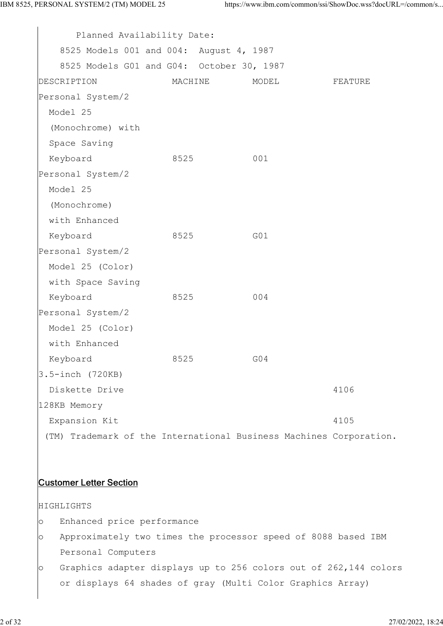| Planned Availability Date:                                         |         |       |         |  |
|--------------------------------------------------------------------|---------|-------|---------|--|
| 8525 Models 001 and 004: August 4, 1987                            |         |       |         |  |
| 8525 Models G01 and G04: October 30, 1987                          |         |       |         |  |
| DESCRIPTION                                                        | MACHINE | MODEL | FEATURE |  |
| Personal System/2                                                  |         |       |         |  |
| Model 25                                                           |         |       |         |  |
| (Monochrome) with                                                  |         |       |         |  |
| Space Saving                                                       |         |       |         |  |
| Keyboard                                                           | 8525    | 001   |         |  |
| Personal System/2                                                  |         |       |         |  |
| Model 25                                                           |         |       |         |  |
| (Monochrome)                                                       |         |       |         |  |
| with Enhanced                                                      |         |       |         |  |
| Keyboard                                                           | 8525    | G01   |         |  |
| Personal System/2                                                  |         |       |         |  |
| Model 25 (Color)                                                   |         |       |         |  |
| with Space Saving                                                  |         |       |         |  |
| Keyboard                                                           | 8525    | 004   |         |  |
| Personal System/2                                                  |         |       |         |  |
| Model 25 (Color)                                                   |         |       |         |  |
| with Enhanced                                                      |         |       |         |  |
| Keyboard                                                           | 8525    | G04   |         |  |
| $3.5$ -inch $(720KB)$                                              |         |       |         |  |
| Diskette Drive                                                     |         |       | 4106    |  |
| 128KB Memory                                                       |         |       |         |  |
| Expansion Kit                                                      |         |       | 4105    |  |
| (TM) Trademark of the International Business Machines Corporation. |         |       |         |  |

## Customer Letter Section

HIGHLIGHTS

- o Enhanced price performance
- o Approximately two times the processor speed of 8088 based IBM Personal Computers
- o Graphics adapter displays up to 256 colors out of 262,144 colors or displays 64 shades of gray (Multi Color Graphics Array)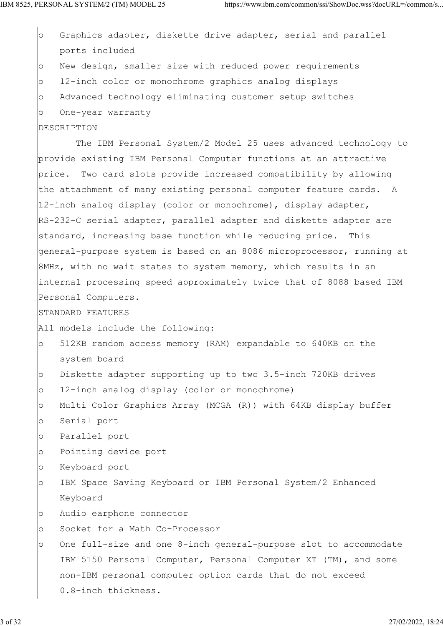o Graphics adapter, diskette drive adapter, serial and parallel ports included o New design, smaller size with reduced power requirements o 12-inch color or monochrome graphics analog displays o Advanced technology eliminating customer setup switches o One-year warranty

## DESCRIPTION

 The IBM Personal System/2 Model 25 uses advanced technology to provide existing IBM Personal Computer functions at an attractive price. Two card slots provide increased compatibility by allowing the attachment of many existing personal computer feature cards. A 12-inch analog display (color or monochrome), display adapter, RS-232-C serial adapter, parallel adapter and diskette adapter are standard, increasing base function while reducing price. This general-purpose system is based on an 8086 microprocessor, running at 8MHz, with no wait states to system memory, which results in an internal processing speed approximately twice that of 8088 based IBM Personal Computers.

## STANDARD FEATURES

All models include the following:

- o 512KB random access memory (RAM) expandable to 640KB on the system board
- o Diskette adapter supporting up to two 3.5-inch 720KB drives
- o 12-inch analog display (color or monochrome)
- o Multi Color Graphics Array (MCGA (R)) with 64KB display buffer
- o Serial port
- o Parallel port
- o Pointing device port
- o Keyboard port
- o IBM Space Saving Keyboard or IBM Personal System/2 Enhanced Keyboard
- o Audio earphone connector
- o Socket for a Math Co-Processor
- o One full-size and one 8-inch general-purpose slot to accommodate IBM 5150 Personal Computer, Personal Computer XT (TM), and some non-IBM personal computer option cards that do not exceed 0.8-inch thickness.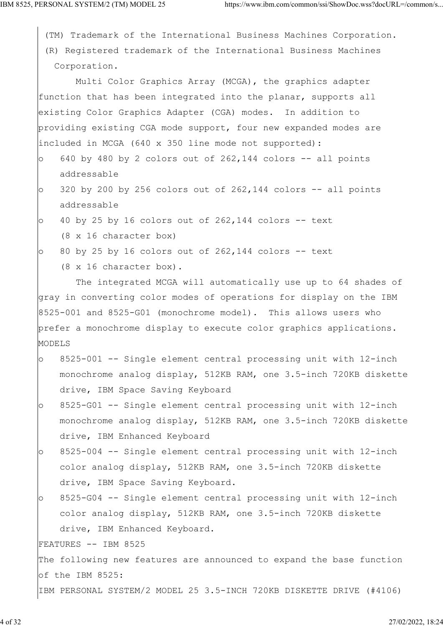|         | (TM) Trademark of the International Business Machines Corporation.   |
|---------|----------------------------------------------------------------------|
|         | (R) Registered trademark of the International Business Machines      |
|         | Corporation.                                                         |
|         | Multi Color Graphics Array (MCGA), the graphics adapter              |
|         | function that has been integrated into the planar, supports all      |
|         | existing Color Graphics Adapter (CGA) modes. In addition to          |
|         | providing existing CGA mode support, four new expanded modes are     |
|         | included in MCGA (640 x 350 line mode not supported):                |
| $\circ$ | 640 by 480 by 2 colors out of 262,144 colors -- all points           |
|         | addressable                                                          |
| $\circ$ | 320 by 200 by 256 colors out of $262,144$ colors $-$ all points      |
|         | addressable                                                          |
| $\circ$ | 40 by 25 by 16 colors out of $262,144$ colors -- text                |
|         | $(8 \times 16 \text{ character box})$                                |
| $\circ$ | 80 by 25 by 16 colors out of 262,144 colors -- text                  |
|         | (8 x 16 character box).                                              |
|         | The integrated MCGA will automatically use up to 64 shades of        |
|         | gray in converting color modes of operations for display on the IBM  |
|         | $8525-001$ and $8525-G01$ (monochrome model). This allows users who  |
|         | prefer a monochrome display to execute color graphics applications.  |
| MODELS  |                                                                      |
| $\circ$ | 8525-001 -- Single element central processing unit with 12-inch      |
|         | monochrome analog display, 512KB RAM, one 3.5-inch 720KB diskette    |
|         | drive, IBM Space Saving Keyboard                                     |
| $\circ$ | 8525-G01 -- Single element central processing unit with 12-inch      |
|         | monochrome analog display, 512KB RAM, one 3.5-inch 720KB diskette    |
|         | drive, IBM Enhanced Keyboard                                         |
| $\circ$ | 8525-004 -- Single element central processing unit with 12-inch      |
|         | color analog display, 512KB RAM, one 3.5-inch 720KB diskette         |
|         | drive, IBM Space Saving Keyboard.                                    |
| $\circ$ | 8525-G04 -- Single element central processing unit with 12-inch      |
|         | color analog display, 512KB RAM, one 3.5-inch 720KB diskette         |
|         | drive, IBM Enhanced Keyboard.                                        |
|         | FEATURES -- IBM 8525                                                 |
|         | The following new features are announced to expand the base function |
|         | of the IBM 8525:                                                     |
|         | IBM PERSONAL SYSTEM/2 MODEL 25 3.5-INCH 720KB DISKETTE DRIVE (#4106) |
|         |                                                                      |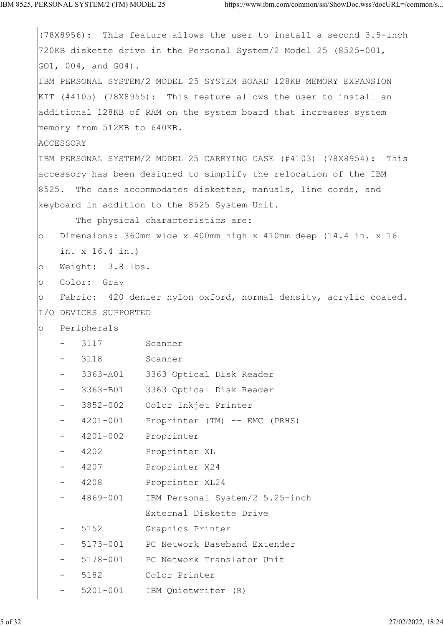```
(78X8956): This feature allows the user to install a second 3.5-inch
720KB diskette drive in the Personal System/2 Model 25 (8525-001,
GO1, 004, and G04).
IBM PERSONAL SYSTEM/2 MODEL 25 SYSTEM BOARD 128KB MEMORY EXPANSION
KIT (#4105) (78X8955): This feature allows the user to install an
additional 128KB of RAM on the system board that increases system
memory from 512KB to 640KB.
ACCESSORY
IBM PERSONAL SYSTEM/2 MODEL 25 CARRYING CASE (#4103) (78X8954): This
accessory has been designed to simplify the relocation of the IBM
8525. The case accommodates diskettes, manuals, line cords, and
keyboard in addition to the 8525 System Unit.
       The physical characteristics are:
o Dimensions: 360mm wide x 400mm high x 410mm deep (14.4 in. x 16
    in. x 16.4 in.)
o Weight: 3.8 lbs.
o Color: Gray
o Fabric: 420 denier nylon oxford, normal density, acrylic coated.
I/O DEVICES SUPPORTED
o Peripherals
       3117 Scanner
       3118 Scanner
       3363-A01 3363 Optical Disk Reader
       3363-B01 3363 Optical Disk Reader
       3852-002 Color Inkjet Printer
        - 4201-001 Proprinter (TM) -- EMC (PRHS)
     - 4201-002 Proprinter
        - 4202 Proprinter XL
        - 4207 Proprinter X24
        - 4208 Proprinter XL24
       4869-001 IBM Personal System/2 5.25-inch
                    External Diskette Drive
       5152 Graphics Printer
        - 5173-001 PC Network Baseband Extender
        - 5178-001 PC Network Translator Unit
        - 5182 Color Printer
     - 5201-001 IBM Quietwriter (R)
```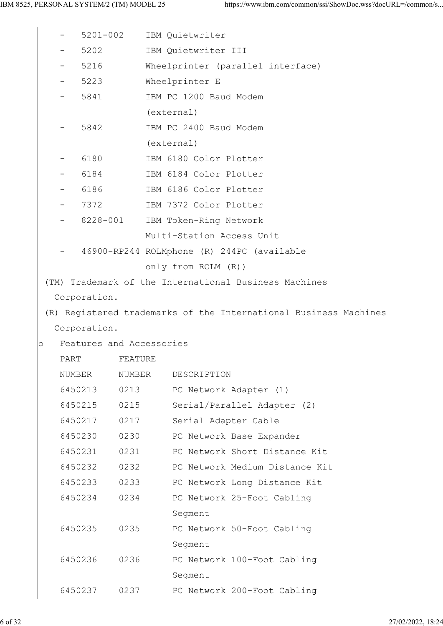|         |                          | 5201-002           |                          | IBM Quietwriter                                                  |
|---------|--------------------------|--------------------|--------------------------|------------------------------------------------------------------|
|         |                          | 5202               |                          | IBM Quietwriter III                                              |
|         | $\overline{\phantom{m}}$ | 5216               |                          | Wheelprinter (parallel interface)                                |
|         |                          | 5223               |                          | Wheelprinter E                                                   |
|         | $\overline{\phantom{m}}$ | 5841               |                          | IBM PC 1200 Baud Modem                                           |
|         |                          |                    |                          | (external)                                                       |
|         |                          | 5842               |                          | IBM PC 2400 Baud Modem                                           |
|         |                          |                    |                          | (external)                                                       |
|         |                          | 6180               |                          | IBM 6180 Color Plotter                                           |
|         | $\overline{\phantom{m}}$ | 6184               |                          | IBM 6184 Color Plotter                                           |
|         |                          | 6186               |                          | IBM 6186 Color Plotter                                           |
|         |                          | 7372               |                          | IBM 7372 Color Plotter                                           |
|         | $\overline{\phantom{m}}$ | 8228-001           |                          | IBM Token-Ring Network                                           |
|         |                          |                    |                          | Multi-Station Access Unit                                        |
|         |                          |                    |                          | 46900-RP244 ROLMphone (R) 244PC (available                       |
|         |                          |                    |                          | only from ROLM (R))                                              |
|         |                          |                    |                          | (TM) Trademark of the International Business Machines            |
|         |                          | Corporation.       |                          |                                                                  |
|         |                          |                    |                          | (R) Registered trademarks of the International Business Machines |
|         |                          | Corporation.       |                          |                                                                  |
| $\circ$ |                          |                    | Features and Accessories |                                                                  |
|         | PART                     |                    | FEATURE                  |                                                                  |
|         | NUMBER                   |                    | NUMBER                   | DESCRIPTION                                                      |
|         |                          | 6450213            | 0213                     | PC Network Adapter (1)                                           |
|         |                          | 6450215<br>6450217 | 0215<br>0217             | Serial/Parallel Adapter (2)                                      |
|         |                          | 6450230            | 0230                     | Serial Adapter Cable                                             |
|         |                          | 6450231            | 0231                     | PC Network Base Expander<br>PC Network Short Distance Kit        |
|         |                          | 6450232            | 0232                     | PC Network Medium Distance Kit                                   |
|         |                          | 6450233            | 0233                     | PC Network Long Distance Kit                                     |
|         |                          | 6450234            | 0234                     | PC Network 25-Foot Cabling                                       |
|         |                          |                    |                          | Segment                                                          |
|         |                          | 6450235            | 0235                     | PC Network 50-Foot Cabling                                       |
|         |                          |                    |                          | Segment                                                          |
|         |                          | 6450236            | 0236                     | PC Network 100-Foot Cabling                                      |
|         |                          |                    |                          | Segment                                                          |
|         |                          | 6450237            | 0237                     | PC Network 200-Foot Cabling                                      |
|         |                          |                    |                          |                                                                  |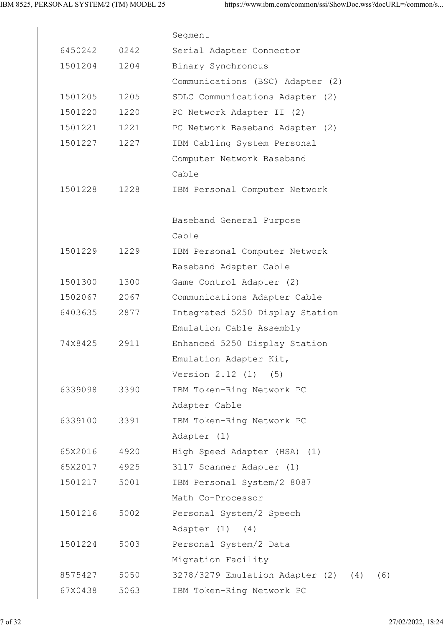|         |      | Segment                                    |
|---------|------|--------------------------------------------|
| 6450242 | 0242 | Serial Adapter Connector                   |
| 1501204 | 1204 | Binary Synchronous                         |
|         |      | Communications (BSC) Adapter (2)           |
| 1501205 | 1205 | SDLC Communications Adapter (2)            |
| 1501220 | 1220 | PC Network Adapter II (2)                  |
| 1501221 | 1221 | PC Network Baseband Adapter (2)            |
| 1501227 | 1227 | IBM Cabling System Personal                |
|         |      | Computer Network Baseband                  |
|         |      | Cable                                      |
| 1501228 | 1228 | IBM Personal Computer Network              |
|         |      |                                            |
|         |      | Baseband General Purpose                   |
|         |      | Cable                                      |
| 1501229 | 1229 | IBM Personal Computer Network              |
|         |      | Baseband Adapter Cable                     |
| 1501300 | 1300 | Game Control Adapter (2)                   |
| 1502067 | 2067 | Communications Adapter Cable               |
| 6403635 | 2877 | Integrated 5250 Display Station            |
|         |      | Emulation Cable Assembly                   |
| 74X8425 | 2911 | Enhanced 5250 Display Station              |
|         |      | Emulation Adapter Kit,                     |
|         |      | Version 2.12 (1) (5)                       |
| 6339098 | 3390 | IBM Token-Ring Network PC                  |
|         |      | Adapter Cable                              |
| 6339100 | 3391 | IBM Token-Ring Network PC                  |
|         |      | Adapter (1)                                |
| 65X2016 | 4920 | High Speed Adapter (HSA) (1)               |
| 65X2017 | 4925 | 3117 Scanner Adapter (1)                   |
| 1501217 | 5001 | IBM Personal System/2 8087                 |
|         |      | Math Co-Processor                          |
| 1501216 | 5002 | Personal System/2 Speech                   |
|         |      | Adapter $(1)$ $(4)$                        |
| 1501224 | 5003 | Personal System/2 Data                     |
|         |      | Migration Facility                         |
| 8575427 | 5050 | 3278/3279 Emulation Adapter (2) (4)<br>(6) |
| 67X0438 | 5063 | IBM Token-Ring Network PC                  |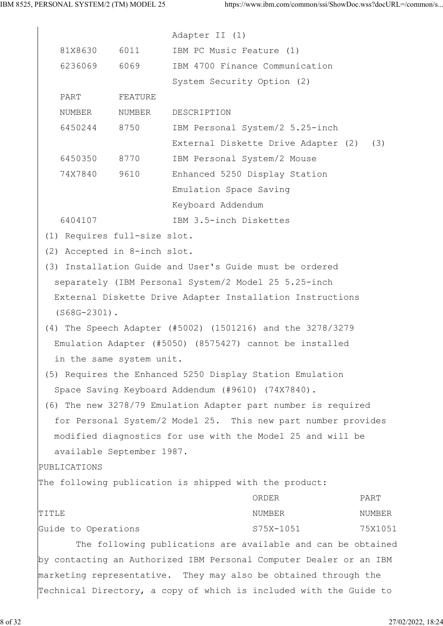|       |                     |                              | Adapter II (1)                                    |                                                                    |         |
|-------|---------------------|------------------------------|---------------------------------------------------|--------------------------------------------------------------------|---------|
|       | 81X8630             | 6011                         | IBM PC Music Feature (1)                          |                                                                    |         |
|       | 6236069             | 6069                         |                                                   | IBM 4700 Finance Communication                                     |         |
|       |                     |                              | System Security Option (2)                        |                                                                    |         |
|       | PART                | FEATURE                      |                                                   |                                                                    |         |
|       | NUMBER              | NUMBER                       | DESCRIPTION                                       |                                                                    |         |
|       | 6450244             | 8750                         |                                                   | IBM Personal System/2 5.25-inch                                    |         |
|       |                     |                              |                                                   | External Diskette Drive Adapter (2) (3)                            |         |
|       | 6450350             | 8770                         | IBM Personal System/2 Mouse                       |                                                                    |         |
|       | 74X7840             | 9610                         |                                                   | Enhanced 5250 Display Station                                      |         |
|       |                     |                              | Emulation Space Saving                            |                                                                    |         |
|       |                     |                              | Keyboard Addendum                                 |                                                                    |         |
|       | 6404107             |                              | IBM 3.5-inch Diskettes                            |                                                                    |         |
|       |                     | (1) Requires full-size slot. |                                                   |                                                                    |         |
|       |                     | (2) Accepted in 8-inch slot. |                                                   |                                                                    |         |
|       |                     |                              |                                                   | (3) Installation Guide and User's Guide must be ordered            |         |
|       |                     |                              |                                                   | separately (IBM Personal System/2 Model 25 5.25-inch               |         |
|       |                     |                              |                                                   | External Diskette Drive Adapter Installation Instructions          |         |
|       | $(S68G-2301)$ .     |                              |                                                   |                                                                    |         |
|       |                     |                              |                                                   | (4) The Speech Adapter (#5002) (1501216) and the 3278/3279         |         |
|       |                     |                              |                                                   | Emulation Adapter (#5050) (8575427) cannot be installed            |         |
|       |                     | in the same system unit.     |                                                   |                                                                    |         |
|       |                     |                              |                                                   | (5) Requires the Enhanced 5250 Display Station Emulation           |         |
|       |                     |                              | Space Saving Keyboard Addendum (#9610) (74X7840). |                                                                    |         |
|       |                     |                              |                                                   | (6) The new 3278/79 Emulation Adapter part number is required      |         |
|       |                     |                              |                                                   | for Personal System/2 Model 25. This new part number provides      |         |
|       |                     |                              |                                                   | modified diagnostics for use with the Model 25 and will be         |         |
|       |                     | available September 1987.    |                                                   |                                                                    |         |
|       | PUBLICATIONS        |                              |                                                   |                                                                    |         |
|       |                     |                              |                                                   | The following publication is shipped with the product:             |         |
|       |                     |                              |                                                   | ORDER                                                              | PART    |
| TITLE |                     |                              |                                                   | NUMBER                                                             | NUMBER  |
|       | Guide to Operations |                              |                                                   | S75X-1051                                                          | 75X1051 |
|       |                     |                              |                                                   | The following publications are available and can be obtained       |         |
|       |                     |                              |                                                   | by contacting an Authorized IBM Personal Computer Dealer or an IBM |         |
|       |                     |                              |                                                   | marketing representative. They may also be obtained through the    |         |

Technical Directory, a copy of which is included with the Guide to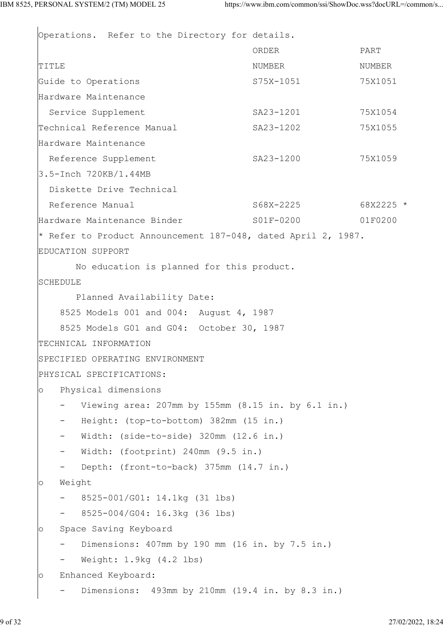Operations. Refer to the Directory for details. ORDER PART TITLE TITLE SERVICES AND STRUCK AND ARREST MUMBER THAT IS NUMBER Guide to Operations and S75X-1051 75X1051 Hardware Maintenance Service Supplement SA23-1201 75X1054 Technical Reference Manual SA23-1202 75X1055 Hardware Maintenance Reference Supplement SA23-1200 75X1059 3.5-Inch 720KB/1.44MB Diskette Drive Technical Reference Manual 368X-2225 68X2225 \* Hardware Maintenance Binder S01F-0200 01F0200 \* Refer to Product Announcement 187-048, dated April 2, 1987. EDUCATION SUPPORT No education is planned for this product. SCHEDULE Planned Availability Date: 8525 Models 001 and 004: August 4, 1987 8525 Models G01 and G04: October 30, 1987 TECHNICAL INFORMATION SPECIFIED OPERATING ENVIRONMENT PHYSICAL SPECIFICATIONS: o Physical dimensions - Viewing area: 207mm by 155mm (8.15 in. by 6.1 in.) - Height: (top-to-bottom) 382mm (15 in.) - Width: (side-to-side) 320mm (12.6 in.) Width: (footprint) 240mm (9.5 in.) Depth: (front-to-back) 375mm (14.7 in.) o Weight - 8525-001/G01: 14.1kg (31 lbs) - 8525-004/G04: 16.3kg (36 lbs) o Space Saving Keyboard - Dimensions: 407mm by 190 mm (16 in. by 7.5 in.) Weight: 1.9kg (4.2 lbs) o Enhanced Keyboard: - Dimensions: 493mm by 210mm (19.4 in. by 8.3 in.)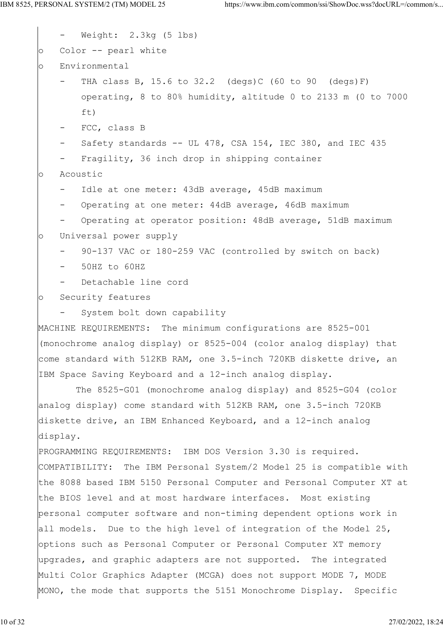Weight: 2.3kg (5 lbs) o Color -- pearl white o Environmental THA class B, 15.6 to  $32.2$  (degs)C (60 to 90 (degs)F) operating, 8 to 80% humidity, altitude 0 to 2133 m (0 to 7000 ft) - FCC, class B Safety standards  $--$  UL 478, CSA 154, IEC 380, and IEC 435 Fragility, 36 inch drop in shipping container o Acoustic Idle at one meter: 43dB average, 45dB maximum Operating at one meter: 44dB average, 46dB maximum Operating at operator position: 48dB average, 51dB maximum o Universal power supply 90-137 VAC or 180-259 VAC (controlled by switch on back) - 50HZ to 60HZ Detachable line cord o Security features System bolt down capability MACHINE REQUIREMENTS: The minimum configurations are 8525-001 (monochrome analog display) or 8525-004 (color analog display) that come standard with 512KB RAM, one 3.5-inch 720KB diskette drive, an IBM Space Saving Keyboard and a 12-inch analog display. The 8525-G01 (monochrome analog display) and 8525-G04 (color analog display) come standard with 512KB RAM, one 3.5-inch 720KB diskette drive, an IBM Enhanced Keyboard, and a 12-inch analog display. PROGRAMMING REQUIREMENTS: IBM DOS Version 3.30 is required. COMPATIBILITY: The IBM Personal System/2 Model 25 is compatible with the 8088 based IBM 5150 Personal Computer and Personal Computer XT at the BIOS level and at most hardware interfaces. Most existing personal computer software and non-timing dependent options work in all models. Due to the high level of integration of the Model 25, options such as Personal Computer or Personal Computer XT memory upgrades, and graphic adapters are not supported. The integrated Multi Color Graphics Adapter (MCGA) does not support MODE 7, MODE MONO, the mode that supports the 5151 Monochrome Display. Specific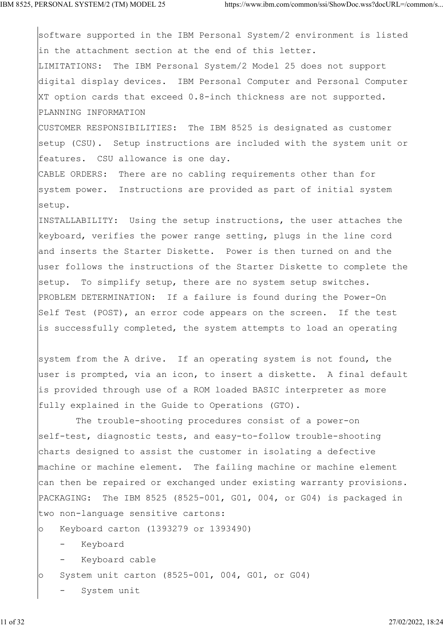software supported in the IBM Personal System/2 environment is listed in the attachment section at the end of this letter. LIMITATIONS: The IBM Personal System/2 Model 25 does not support digital display devices. IBM Personal Computer and Personal Computer XT option cards that exceed 0.8-inch thickness are not supported. PLANNING INFORMATION

CUSTOMER RESPONSIBILITIES: The IBM 8525 is designated as customer setup (CSU). Setup instructions are included with the system unit or features. CSU allowance is one day.

CABLE ORDERS: There are no cabling requirements other than for system power. Instructions are provided as part of initial system setup.

INSTALLABILITY: Using the setup instructions, the user attaches the keyboard, verifies the power range setting, plugs in the line cord and inserts the Starter Diskette. Power is then turned on and the user follows the instructions of the Starter Diskette to complete the setup. To simplify setup, there are no system setup switches. PROBLEM DETERMINATION: If a failure is found during the Power-On Self Test (POST), an error code appears on the screen. If the test is successfully completed, the system attempts to load an operating

system from the A drive. If an operating system is not found, the user is prompted, via an icon, to insert a diskette. A final default is provided through use of a ROM loaded BASIC interpreter as more fully explained in the Guide to Operations (GTO).

 The trouble-shooting procedures consist of a power-on self-test, diagnostic tests, and easy-to-follow trouble-shooting charts designed to assist the customer in isolating a defective machine or machine element. The failing machine or machine element can then be repaired or exchanged under existing warranty provisions. PACKAGING: The IBM 8525 (8525-001, G01, 004, or G04) is packaged in two non-language sensitive cartons:

- o Keyboard carton (1393279 or 1393490)
	- Keyboard
	- Keyboard cable
- o System unit carton (8525-001, 004, G01, or G04)
	- System unit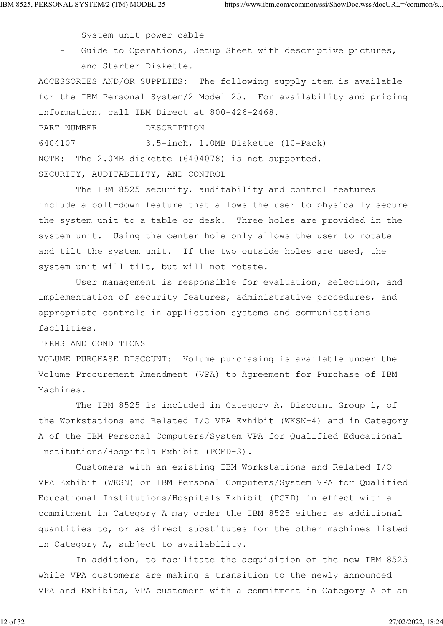- System unit power cable

Guide to Operations, Setup Sheet with descriptive pictures, and Starter Diskette.

ACCESSORIES AND/OR SUPPLIES: The following supply item is available for the IBM Personal System/2 Model 25. For availability and pricing information, call IBM Direct at 800-426-2468.

PART NUMBER DESCRIPTION 6404107 3.5-inch, 1.0MB Diskette (10-Pack) NOTE: The 2.0MB diskette (6404078) is not supported. SECURITY, AUDITABILITY, AND CONTROL

 The IBM 8525 security, auditability and control features include a bolt-down feature that allows the user to physically secure the system unit to a table or desk. Three holes are provided in the system unit. Using the center hole only allows the user to rotate and tilt the system unit. If the two outside holes are used, the system unit will tilt, but will not rotate.

 User management is responsible for evaluation, selection, and implementation of security features, administrative procedures, and appropriate controls in application systems and communications facilities.

TERMS AND CONDITIONS

VOLUME PURCHASE DISCOUNT: Volume purchasing is available under the Volume Procurement Amendment (VPA) to Agreement for Purchase of IBM Machines.

The IBM 8525 is included in Category A, Discount Group 1, of the Workstations and Related I/O VPA Exhibit (WKSN-4) and in Category A of the IBM Personal Computers/System VPA for Qualified Educational Institutions/Hospitals Exhibit (PCED-3).

 Customers with an existing IBM Workstations and Related I/O VPA Exhibit (WKSN) or IBM Personal Computers/System VPA for Qualified Educational Institutions/Hospitals Exhibit (PCED) in effect with a commitment in Category A may order the IBM 8525 either as additional quantities to, or as direct substitutes for the other machines listed in Category A, subject to availability.

 In addition, to facilitate the acquisition of the new IBM 8525 while VPA customers are making a transition to the newly announced VPA and Exhibits, VPA customers with a commitment in Category A of an

12 of 32 27/02/2022, 18:24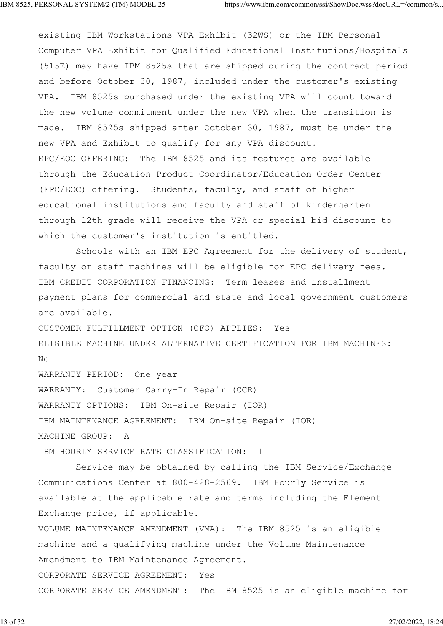existing IBM Workstations VPA Exhibit (32WS) or the IBM Personal Computer VPA Exhibit for Qualified Educational Institutions/Hospitals (515E) may have IBM 8525s that are shipped during the contract period and before October 30, 1987, included under the customer's existing VPA. IBM 8525s purchased under the existing VPA will count toward the new volume commitment under the new VPA when the transition is made. IBM 8525s shipped after October 30, 1987, must be under the new VPA and Exhibit to qualify for any VPA discount. EPC/EOC OFFERING: The IBM 8525 and its features are available through the Education Product Coordinator/Education Order Center (EPC/EOC) offering. Students, faculty, and staff of higher educational institutions and faculty and staff of kindergarten through 12th grade will receive the VPA or special bid discount to which the customer's institution is entitled. Schools with an IBM EPC Agreement for the delivery of student, faculty or staff machines will be eligible for EPC delivery fees. IBM CREDIT CORPORATION FINANCING: Term leases and installment payment plans for commercial and state and local government customers are available. CUSTOMER FULFILLMENT OPTION (CFO) APPLIES: Yes ELIGIBLE MACHINE UNDER ALTERNATIVE CERTIFICATION FOR IBM MACHINES: No and the set of the set of the set of the set of the set of the set of the set of the set of the set of the s WARRANTY PERIOD: One year WARRANTY: Customer Carry-In Repair (CCR) WARRANTY OPTIONS: IBM On-site Repair (IOR) IBM MAINTENANCE AGREEMENT: IBM On-site Repair (IOR) MACHINE GROUP: A IBM HOURLY SERVICE RATE CLASSIFICATION: 1 Service may be obtained by calling the IBM Service/Exchange Communications Center at 800-428-2569. IBM Hourly Service is available at the applicable rate and terms including the Element Exchange price, if applicable. VOLUME MAINTENANCE AMENDMENT (VMA): The IBM 8525 is an eligible machine and a qualifying machine under the Volume Maintenance Amendment to IBM Maintenance Agreement. CORPORATE SERVICE AGREEMENT: Yes CORPORATE SERVICE AMENDMENT: The IBM 8525 is an eligible machine for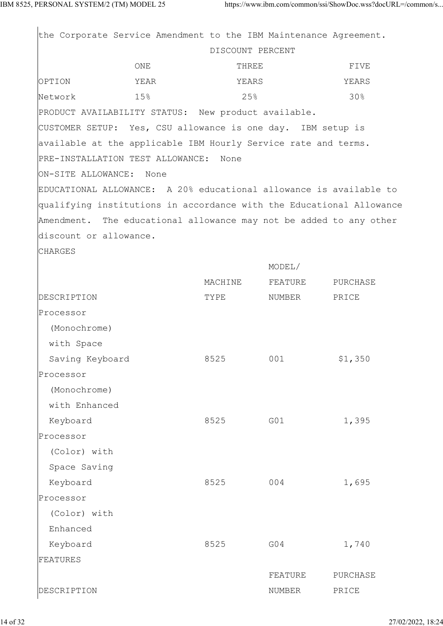|                                  |      | the Corporate Service Amendment to the IBM Maintenance Agreement. |         |                                                                      |  |
|----------------------------------|------|-------------------------------------------------------------------|---------|----------------------------------------------------------------------|--|
|                                  |      | DISCOUNT PERCENT                                                  |         |                                                                      |  |
|                                  | ONE  | THREE                                                             |         | FIVE                                                                 |  |
| OPTION                           | YEAR | YEARS                                                             |         | YEARS                                                                |  |
| Network                          | 15%  | 25%                                                               |         | 30%                                                                  |  |
|                                  |      | PRODUCT AVAILABILITY STATUS: New product available.               |         |                                                                      |  |
|                                  |      | CUSTOMER SETUP: Yes, CSU allowance is one day. IBM setup is       |         |                                                                      |  |
|                                  |      | available at the applicable IBM Hourly Service rate and terms.    |         |                                                                      |  |
| PRE-INSTALLATION TEST ALLOWANCE: |      | None                                                              |         |                                                                      |  |
| ON-SITE ALLOWANCE: None          |      |                                                                   |         |                                                                      |  |
|                                  |      |                                                                   |         | EDUCATIONAL ALLOWANCE: A 20% educational allowance is available to   |  |
|                                  |      |                                                                   |         | qualifying institutions in accordance with the Educational Allowance |  |
|                                  |      |                                                                   |         | Amendment. The educational allowance may not be added to any other   |  |
| discount or allowance.           |      |                                                                   |         |                                                                      |  |
| <b>CHARGES</b>                   |      |                                                                   |         |                                                                      |  |
|                                  |      |                                                                   | MODEL/  |                                                                      |  |
|                                  |      | MACHINE                                                           | FEATURE | PURCHASE                                                             |  |
| DESCRIPTION                      |      | TYPE                                                              | NUMBER  | PRICE                                                                |  |
| Processor                        |      |                                                                   |         |                                                                      |  |
| (Monochrome)                     |      |                                                                   |         |                                                                      |  |
| with Space                       |      |                                                                   |         |                                                                      |  |
| Saving Keyboard                  |      | 8525                                                              | 001     | \$1,350                                                              |  |
| Processor                        |      |                                                                   |         |                                                                      |  |
| (Monochrome)                     |      |                                                                   |         |                                                                      |  |
| with Enhanced                    |      |                                                                   |         |                                                                      |  |
| Keyboard                         |      | 8525                                                              | G01     | 1,395                                                                |  |
| Processor                        |      |                                                                   |         |                                                                      |  |
| (Color) with                     |      |                                                                   |         |                                                                      |  |
| Space Saving                     |      |                                                                   |         |                                                                      |  |
| Keyboard                         |      | 8525                                                              | 004     | 1,695                                                                |  |
| Processor                        |      |                                                                   |         |                                                                      |  |
| (Color) with                     |      |                                                                   |         |                                                                      |  |
| Enhanced                         |      |                                                                   |         |                                                                      |  |
| Keyboard                         |      | 8525                                                              | G04     | 1,740                                                                |  |
| FEATURES                         |      |                                                                   |         |                                                                      |  |
|                                  |      |                                                                   | FEATURE | PURCHASE                                                             |  |
| DESCRIPTION                      |      |                                                                   | NUMBER  | PRICE                                                                |  |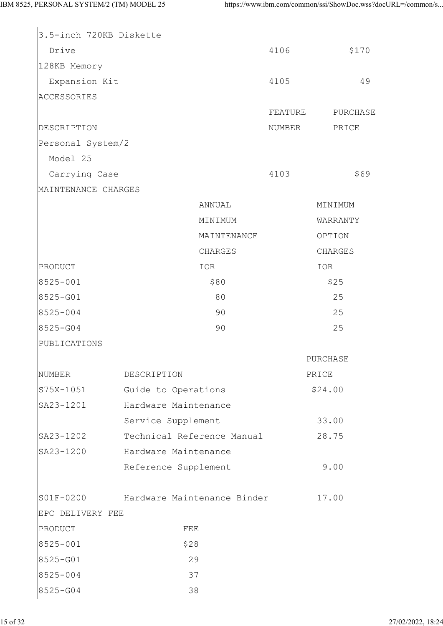| 3.5-inch 720KB Diskette |                                       |         |          |  |
|-------------------------|---------------------------------------|---------|----------|--|
| Drive                   |                                       | 4106    | \$170    |  |
| 128KB Memory            |                                       |         |          |  |
| Expansion Kit           |                                       | 4105    | 49       |  |
| <b>ACCESSORIES</b>      |                                       |         |          |  |
|                         |                                       | FEATURE | PURCHASE |  |
| DESCRIPTION             |                                       | NUMBER  | PRICE    |  |
| Personal System/2       |                                       |         |          |  |
| Model 25                |                                       |         |          |  |
| Carrying Case           |                                       | 4103    | \$69     |  |
| MAINTENANCE CHARGES     |                                       |         |          |  |
|                         | ANNUAL                                |         | MINIMUM  |  |
|                         | MINIMUM                               |         | WARRANTY |  |
|                         | MAINTENANCE                           |         | OPTION   |  |
|                         | CHARGES                               |         | CHARGES  |  |
| PRODUCT                 | IOR                                   |         | IOR      |  |
| 8525-001                | \$80                                  |         | \$25     |  |
| 8525-G01                | 80                                    |         | 25       |  |
| 8525-004                | 90                                    |         | 25       |  |
| 8525-G04                | 90                                    |         | 25       |  |
| PUBLICATIONS            |                                       |         |          |  |
|                         |                                       |         | PURCHASE |  |
| NUMBER                  | DESCRIPTION                           |         | PRICE    |  |
| $S75X - 1051$           | Guide to Operations                   |         | \$24.00  |  |
| SA23-1201               | Hardware Maintenance                  |         |          |  |
|                         | Service Supplement                    |         | 33.00    |  |
| SA23-1202               | Technical Reference Manual            |         | 28.75    |  |
| SA23-1200               | Hardware Maintenance                  |         |          |  |
|                         | Reference Supplement                  |         | 9.00     |  |
|                         |                                       |         |          |  |
|                         | S01F-0200 Hardware Maintenance Binder |         | 17.00    |  |
| EPC DELIVERY FEE        |                                       |         |          |  |
| PRODUCT                 | FEE                                   |         |          |  |
| 8525-001                | \$28                                  |         |          |  |
| 8525-G01                | 29                                    |         |          |  |
| 8525-004                | 37                                    |         |          |  |
| 8525-G04                | 38                                    |         |          |  |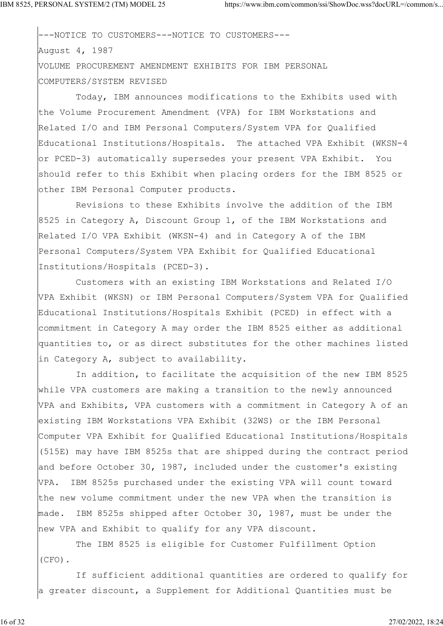COMPUTERS/SYSTEM REVISED

---NOTICE TO CUSTOMERS---NOTICE TO CUSTOMERS--- August 4, 1987 VOLUME PROCUREMENT AMENDMENT EXHIBITS FOR IBM PERSONAL

 Today, IBM announces modifications to the Exhibits used with the Volume Procurement Amendment (VPA) for IBM Workstations and Related I/O and IBM Personal Computers/System VPA for Qualified Educational Institutions/Hospitals. The attached VPA Exhibit (WKSN-4 or PCED-3) automatically supersedes your present VPA Exhibit. You should refer to this Exhibit when placing orders for the IBM 8525 or other IBM Personal Computer products.

 Revisions to these Exhibits involve the addition of the IBM 8525 in Category A, Discount Group 1, of the IBM Workstations and Related I/O VPA Exhibit (WKSN-4) and in Category A of the IBM Personal Computers/System VPA Exhibit for Qualified Educational Institutions/Hospitals (PCED-3).

 Customers with an existing IBM Workstations and Related I/O VPA Exhibit (WKSN) or IBM Personal Computers/System VPA for Qualified Educational Institutions/Hospitals Exhibit (PCED) in effect with a commitment in Category A may order the IBM 8525 either as additional quantities to, or as direct substitutes for the other machines listed in Category A, subject to availability.

 In addition, to facilitate the acquisition of the new IBM 8525 while VPA customers are making a transition to the newly announced VPA and Exhibits, VPA customers with a commitment in Category A of an existing IBM Workstations VPA Exhibit (32WS) or the IBM Personal Computer VPA Exhibit for Qualified Educational Institutions/Hospitals (515E) may have IBM 8525s that are shipped during the contract period and before October 30, 1987, included under the customer's existing VPA. IBM 8525s purchased under the existing VPA will count toward the new volume commitment under the new VPA when the transition is made. IBM 8525s shipped after October 30, 1987, must be under the new VPA and Exhibit to qualify for any VPA discount.

 The IBM 8525 is eligible for Customer Fulfillment Option (CFO).

 If sufficient additional quantities are ordered to qualify for a greater discount, a Supplement for Additional Quantities must be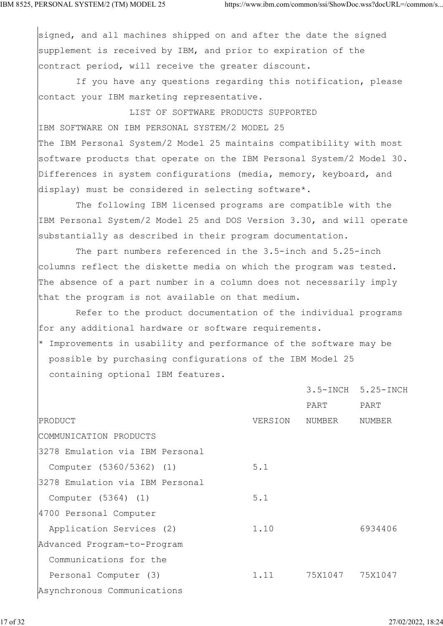signed, and all machines shipped on and after the date the signed supplement is received by IBM, and prior to expiration of the contract period, will receive the greater discount.

 If you have any questions regarding this notification, please contact your IBM marketing representative.

 LIST OF SOFTWARE PRODUCTS SUPPORTED IBM SOFTWARE ON IBM PERSONAL SYSTEM/2 MODEL 25 The IBM Personal System/2 Model 25 maintains compatibility with most software products that operate on the IBM Personal System/2 Model 30. Differences in system configurations (media, memory, keyboard, and display) must be considered in selecting software\*.

 The following IBM licensed programs are compatible with the IBM Personal System/2 Model 25 and DOS Version 3.30, and will operate substantially as described in their program documentation.

 The part numbers referenced in the 3.5-inch and 5.25-inch columns reflect the diskette media on which the program was tested. The absence of a part number in a column does not necessarily imply that the program is not available on that medium.

 Refer to the product documentation of the individual programs for any additional hardware or software requirements. \* Improvements in usability and performance of the software may be possible by purchasing configurations of the IBM Model 25 containing optional IBM features.

|                                 |         |         | 3.5-INCH 5.25-INCH |
|---------------------------------|---------|---------|--------------------|
|                                 |         | PART    | PART               |
| PRODUCT                         | VERSION | NUMBER  | NUMBER             |
| COMMUNICATION PRODUCTS          |         |         |                    |
| 3278 Emulation via IBM Personal |         |         |                    |
| Computer (5360/5362) (1)        | 5.1     |         |                    |
| 3278 Emulation via IBM Personal |         |         |                    |
| Computer (5364) (1)             | 5.1     |         |                    |
| 4700 Personal Computer          |         |         |                    |
| Application Services (2)        | 1.10    |         | 6934406            |
| Advanced Program-to-Program     |         |         |                    |
| Communications for the          |         |         |                    |
| Personal Computer (3)           | 1.11    | 75X1047 | 75X1047            |
| Asynchronous Communications     |         |         |                    |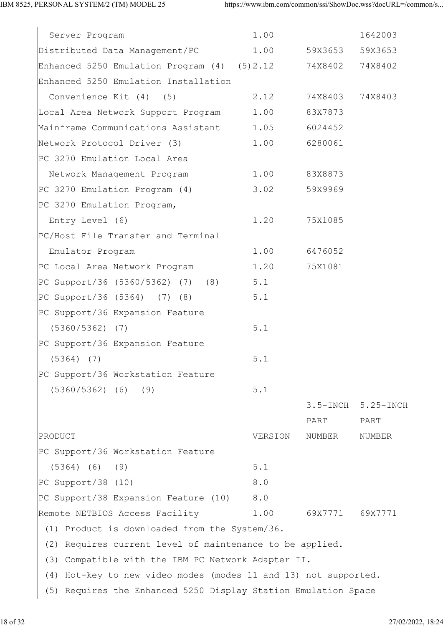| Server Program                                                  | 1.00         |                 | 1642003   |  |  |  |  |
|-----------------------------------------------------------------|--------------|-----------------|-----------|--|--|--|--|
| Distributed Data Management/PC 1.00                             |              | 59X3653 59X3653 |           |  |  |  |  |
| Enhanced 5250 Emulation Program (4) (5)2.12                     |              | 74X8402 74X8402 |           |  |  |  |  |
| Enhanced 5250 Emulation Installation                            |              |                 |           |  |  |  |  |
| Convenience Kit (4) (5)                                         | 2.12         | 74X8403 74X8403 |           |  |  |  |  |
| Local Area Network Support Program                              | 1.00         | 83X7873         |           |  |  |  |  |
| Mainframe Communications Assistant 1.05                         |              | 6024452         |           |  |  |  |  |
| Network Protocol Driver (3)                                     | 1.00         | 6280061         |           |  |  |  |  |
| PC 3270 Emulation Local Area                                    |              |                 |           |  |  |  |  |
| Network Management Program                                      | 1.00 83X8873 |                 |           |  |  |  |  |
| PC 3270 Emulation Program (4)                                   | 3.02         | 59X9969         |           |  |  |  |  |
| PC 3270 Emulation Program,                                      |              |                 |           |  |  |  |  |
| Entry Level (6)                                                 | 1.20         | 75X1085         |           |  |  |  |  |
| PC/Host File Transfer and Terminal                              |              |                 |           |  |  |  |  |
| Emulator Program                                                | 1.00         | 6476052         |           |  |  |  |  |
| PC Local Area Network Program                                   | 1.20         | 75X1081         |           |  |  |  |  |
| PC Support/36 (5360/5362) (7) (8)                               | 5.1          |                 |           |  |  |  |  |
| PC Support/36 (5364) (7) (8)                                    | 5.1          |                 |           |  |  |  |  |
| PC Support/36 Expansion Feature                                 |              |                 |           |  |  |  |  |
| $(5360/5362)$ (7)                                               | 5.1          |                 |           |  |  |  |  |
| PC Support/36 Expansion Feature                                 |              |                 |           |  |  |  |  |
| $(5364)$ (7)                                                    | 5.1          |                 |           |  |  |  |  |
| PC Support/36 Workstation Feature                               |              |                 |           |  |  |  |  |
| $(5360/5362)$ (6)<br>(9)                                        | 5.1          |                 |           |  |  |  |  |
|                                                                 |              | $3.5 - INCH$    | 5.25-INCH |  |  |  |  |
|                                                                 |              | PART            | PART      |  |  |  |  |
| PRODUCT                                                         | VERSION      | NUMBER          | NUMBER    |  |  |  |  |
| PC Support/36 Workstation Feature                               |              |                 |           |  |  |  |  |
| $(5364)$ (6)<br>(9)                                             | 5.1          |                 |           |  |  |  |  |
| $PC$ Support/38 (10)                                            | 8.0          |                 |           |  |  |  |  |
| PC Support/38 Expansion Feature (10)                            | 8.0          |                 |           |  |  |  |  |
| Remote NETBIOS Access Facility                                  | 1.00         | 69X7771         | 69X7771   |  |  |  |  |
| (1) Product is downloaded from the System/36.                   |              |                 |           |  |  |  |  |
| (2) Requires current level of maintenance to be applied.        |              |                 |           |  |  |  |  |
| Compatible with the IBM PC Network Adapter II.<br>(3)           |              |                 |           |  |  |  |  |
| (4) Hot-key to new video modes (modes 11 and 13) not supported. |              |                 |           |  |  |  |  |
| (5) Requires the Enhanced 5250 Display Station Emulation Space  |              |                 |           |  |  |  |  |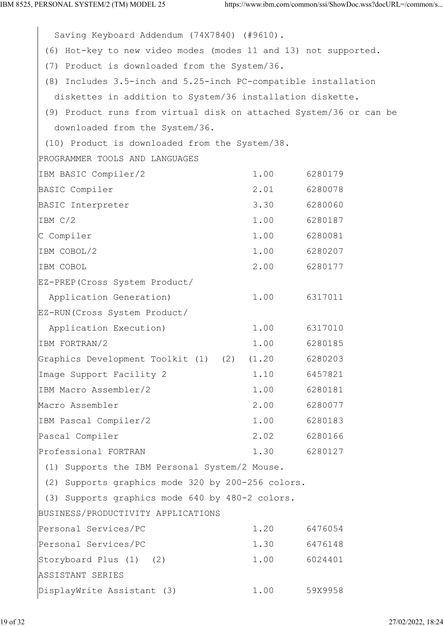Saving Keyboard Addendum (74X7840) (#9610). (6) Hot-key to new video modes (modes 11 and 13) not supported. (7) Product is downloaded from the System/36. (8) Includes 3.5-inch and 5.25-inch PC-compatible installation diskettes in addition to System/36 installation diskette. (9) Product runs from virtual disk on attached System/36 or can be downloaded from the System/36. (10) Product is downloaded from the System/38. PROGRAMMER TOOLS AND LANGUAGES IBM BASIC Compiler/2 1.00 6280179 BASIC Compiler 2.01 6280078 BASIC Interpreter 3.30 6280060 IBM C/2 1.00 6280187 C Compiler 1.00 6280081 IBM COBOL/2 1.00 6280207 IBM COBOL 2.00 6280177 EZ-PREP(Cross System Product/ Application Generation) 1.00 6317011 EZ-RUN(Cross System Product/ Application Execution) 1.00 6317010 IBM FORTRAN/2 1.00 6280185 Graphics Development Toolkit (1) (2) (1.20 6280203 Image Support Facility 2 1.10 6457821 IBM Macro Assembler/2 1.00 6280181 Macro Assembler 2.00 6280077 IBM Pascal Compiler/2 1.00 6280183 Pascal Compiler 2.02 6280166 Professional FORTRAN 1.30 6280127 (1) Supports the IBM Personal System/2 Mouse. (2) Supports graphics mode 320 by 200-256 colors. (3) Supports graphics mode 640 by 480-2 colors. BUSINESS/PRODUCTIVITY APPLICATIONS Personal Services/PC 1.20 6476054 Personal Services/PC 1.30 6476148 Storyboard Plus (1) (2) 1.00 6024401 ASSISTANT SERIES DisplayWrite Assistant (3) 1.00 59X9958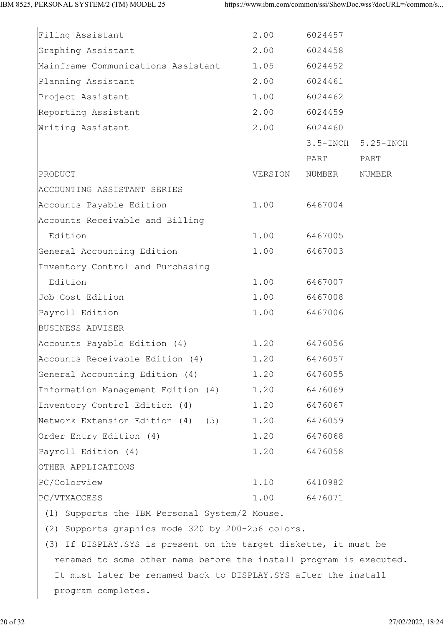| Filing Assistant                             | 2.00    | 6024457 |                    |
|----------------------------------------------|---------|---------|--------------------|
| Graphing Assistant                           | 2.00    | 6024458 |                    |
| Mainframe Communications Assistant           | 1.05    | 6024452 |                    |
| Planning Assistant                           | 2.00    | 6024461 |                    |
| Project Assistant                            | 1.00    | 6024462 |                    |
| Reporting Assistant                          | 2.00    | 6024459 |                    |
| Writing Assistant                            | 2.00    | 6024460 |                    |
|                                              |         |         | 3.5-INCH 5.25-INCH |
|                                              |         | PART    | PART               |
| PRODUCT                                      | VERSION | NUMBER  | NUMBER             |
| ACCOUNTING ASSISTANT SERIES                  |         |         |                    |
| Accounts Payable Edition                     | 1.00    | 6467004 |                    |
| Accounts Receivable and Billing              |         |         |                    |
| Edition                                      | 1.00    | 6467005 |                    |
| General Accounting Edition                   | 1.00    | 6467003 |                    |
| Inventory Control and Purchasing             |         |         |                    |
| Edition                                      | 1.00    | 6467007 |                    |
| Job Cost Edition                             | 1.00    | 6467008 |                    |
| Payroll Edition                              | 1.00    | 6467006 |                    |
| BUSINESS ADVISER                             |         |         |                    |
| Accounts Payable Edition (4)                 | 1.20    | 6476056 |                    |
| Accounts Receivable Edition (4) 1.20 6476057 |         |         |                    |
| General Accounting Edition (4)               | 1.20    | 6476055 |                    |
| Information Management Edition (4)           | 1.20    | 6476069 |                    |
| Inventory Control Edition (4)                | 1.20    | 6476067 |                    |
| Network Extension Edition (4) (5)            | 1.20    | 6476059 |                    |
| Order Entry Edition (4)                      | 1.20    | 6476068 |                    |
| Payroll Edition (4)                          | 1.20    | 6476058 |                    |
| OTHER APPLICATIONS                           |         |         |                    |
| PC/Colorview                                 | 1.10    | 6410982 |                    |
| PC/VTXACCESS                                 | 1.00    | 6476071 |                    |
|                                              |         |         |                    |

(1) Supports the IBM Personal System/2 Mouse.

(2) Supports graphics mode 320 by 200-256 colors.

 (3) If DISPLAY.SYS is present on the target diskette, it must be renamed to some other name before the install program is executed. It must later be renamed back to DISPLAY.SYS after the install program completes.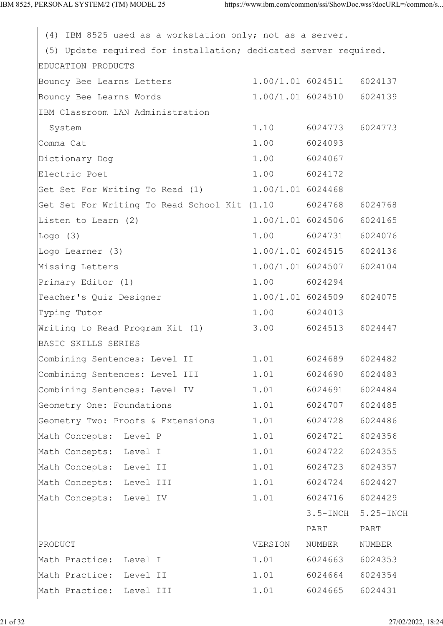(4) IBM 8525 used as a workstation only; not as a server. (5) Update required for installation; dedicated server required. EDUCATION PRODUCTS Bouncy Bee Learns Letters 1.00/1.01 6024511 6024137 Bouncy Bee Learns Words 1.00/1.01 6024510 6024139 IBM Classroom LAN Administration System 1.10 6024773 6024773 Comma Cat 1.00 6024093 Dictionary Dog 1.00 6024067 Electric Poet 1.00 6024172 Get Set For Writing To Read (1)  $1.00/1.01$  6024468 Get Set For Writing To Read School Kit (1.10 6024768 6024768 Listen to Learn (2) 1.00/1.01 6024506 6024165 Logo (3) 1.00 6024731 6024076 Logo Learner (3)  $1.00/1.01$  6024515 6024136 Missing Letters 1.00/1.01 6024507 6024104 Primary Editor (1) 1.00 6024294 Teacher's Quiz Designer 1.00/1.01 6024509 6024075 Typing Tutor 1.00 6024013 Writing to Read Program Kit (1) 3.00 6024513 6024447 BASIC SKILLS SERIES Combining Sentences: Level II 1.01 6024689 6024482 Combining Sentences: Level III 1.01 6024690 6024483 Combining Sentences: Level IV 1.01 6024691 6024484 Geometry One: Foundations 1.01 6024707 6024485 Geometry Two: Proofs & Extensions 1.01 6024728 6024486 Math Concepts: Level P 1.01 6024721 6024356 Math Concepts: Level I 1.01 6024722 6024355 Math Concepts: Level II 1.01 6024723 6024357 Math Concepts: Level III 1.01 6024724 6024427 Math Concepts: Level IV 1.01 6024716 6024429 3.5-INCH 5.25-INCH PART PART PRODUCT THE RESERVING OF THE RESPONDING TO A PRODUCT THE RESPONDING OF THE RESPONDING OF THE RESPONDING OF THE RESPONDING OF THE RESPONDING OF THE RESPONDING OF THE RESPONDING OF THE RESPONDING OF THE RESPONDING OF THE RES Math Practice: Level I 1.01 6024663 6024353 Math Practice: Level II 1.01 6024664 6024354 Math Practice: Level III 1.01 6024665 6024431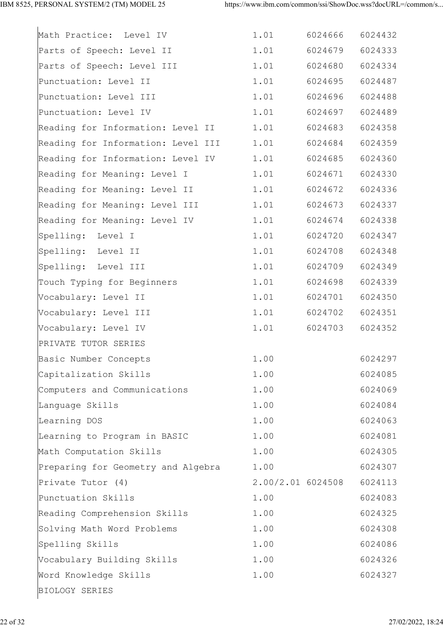| Math Practice: Level IV            | 1.01 | 6024666           | 6024432 |
|------------------------------------|------|-------------------|---------|
| Parts of Speech: Level II          | 1.01 | 6024679           | 6024333 |
| Parts of Speech: Level III         | 1.01 | 6024680           | 6024334 |
| Punctuation: Level II              | 1.01 | 6024695           | 6024487 |
| Punctuation: Level III             | 1.01 | 6024696           | 6024488 |
| Punctuation: Level IV              | 1.01 | 6024697           | 6024489 |
| Reading for Information: Level II  | 1.01 | 6024683           | 6024358 |
| Reading for Information: Level III | 1.01 | 6024684           | 6024359 |
| Reading for Information: Level IV  | 1.01 | 6024685           | 6024360 |
| Reading for Meaning: Level I       | 1.01 | 6024671           | 6024330 |
| Reading for Meaning: Level II      | 1.01 | 6024672           | 6024336 |
| Reading for Meaning: Level III     | 1.01 | 6024673           | 6024337 |
| Reading for Meaning: Level IV      | 1.01 | 6024674           | 6024338 |
| Spelling: Level I                  | 1.01 | 6024720           | 6024347 |
| Spelling: Level II                 | 1.01 | 6024708           | 6024348 |
| Spelling: Level III                | 1.01 | 6024709           | 6024349 |
| Touch Typing for Beginners         | 1.01 | 6024698           | 6024339 |
| Vocabulary: Level II               | 1.01 | 6024701           | 6024350 |
| Vocabulary: Level III              | 1.01 | 6024702           | 6024351 |
| Vocabulary: Level IV               | 1.01 | 6024703           | 6024352 |
| PRIVATE TUTOR SERIES               |      |                   |         |
| Basic Number Concepts              | 1.00 |                   | 6024297 |
| Capitalization Skills              | 1.00 |                   | 6024085 |
| Computers and Communications       | 1.00 |                   | 6024069 |
| Language Skills                    | 1.00 |                   | 6024084 |
| Learning DOS                       | 1.00 |                   | 6024063 |
| Learning to Program in BASIC       | 1.00 |                   | 6024081 |
| Math Computation Skills            | 1.00 |                   | 6024305 |
| Preparing for Geometry and Algebra | 1.00 |                   | 6024307 |
| Private Tutor (4)                  |      | 2.00/2.01 6024508 | 6024113 |
| Punctuation Skills                 | 1.00 |                   | 6024083 |
| Reading Comprehension Skills       | 1.00 |                   | 6024325 |
| Solving Math Word Problems         | 1.00 |                   | 6024308 |
| Spelling Skills                    | 1.00 |                   | 6024086 |
| Vocabulary Building Skills         | 1.00 |                   | 6024326 |
| Word Knowledge Skills              | 1.00 |                   | 6024327 |
| BIOLOGY SERIES                     |      |                   |         |
|                                    |      |                   |         |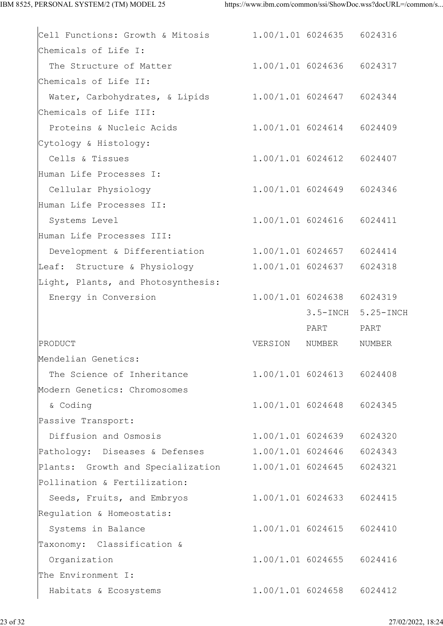| Cell Functions: Growth & Mitosis 1.00/1.01 6024635 6024316  |         |                           |                    |
|-------------------------------------------------------------|---------|---------------------------|--------------------|
| Chemicals of Life I:                                        |         |                           |                    |
| The Structure of Matter 1.00/1.01 6024636 6024317           |         |                           |                    |
| Chemicals of Life II:                                       |         |                           |                    |
| Water, Carbohydrates, & Lipids 1.00/1.01 6024647 6024344    |         |                           |                    |
| Chemicals of Life III:                                      |         |                           |                    |
| Proteins & Nucleic Acids 1.00/1.01 6024614 6024409          |         |                           |                    |
| Cytology & Histology:                                       |         |                           |                    |
| Cells & Tissues                                             |         | 1.00/1.01 6024612 6024407 |                    |
| Human Life Processes I:                                     |         |                           |                    |
| Cellular Physiology                                         |         | 1.00/1.01 6024649 6024346 |                    |
| Human Life Processes II:                                    |         |                           |                    |
| Systems Level                                               |         | 1.00/1.01 6024616 6024411 |                    |
| Human Life Processes III:                                   |         |                           |                    |
| Development & Differentiation 1.00/1.01 6024657 6024414     |         |                           |                    |
| Leaf: Structure & Physiology 1.00/1.01 6024637 6024318      |         |                           |                    |
| Light, Plants, and Photosynthesis:                          |         |                           |                    |
| Energy in Conversion                                        |         | 1.00/1.01 6024638 6024319 |                    |
|                                                             |         |                           | 3.5-INCH 5.25-INCH |
|                                                             |         | PART                      | PART               |
| PRODUCT                                                     | VERSION | NUMBER                    | NUMBER             |
| Mendelian Genetics:                                         |         |                           |                    |
|                                                             |         |                           |                    |
| The Science of Inheritance                                  |         | 1.00/1.01 6024613 6024408 |                    |
| Modern Genetics: Chromosomes                                |         |                           |                    |
| & Coding                                                    |         | 1.00/1.01 6024648 6024345 |                    |
| Passive Transport:                                          |         |                           |                    |
| Diffusion and Osmosis                                       |         | 1.00/1.01 6024639         | 6024320            |
| Pathology: Diseases & Defenses 1.00/1.01 6024646            |         |                           | 6024343            |
| Plants: Growth and Specialization 1.00/1.01 6024645 6024321 |         |                           |                    |
| Pollination & Fertilization:                                |         |                           |                    |
| Seeds, Fruits, and Embryos                                  |         | 1.00/1.01 6024633 6024415 |                    |
| Regulation & Homeostatis:                                   |         |                           |                    |
| Systems in Balance                                          |         | 1.00/1.01 6024615         | 6024410            |
| Taxonomy: Classification &                                  |         |                           |                    |
| Organization                                                |         | 1.00/1.01 6024655         | 6024416            |
| The Environment I:                                          |         |                           |                    |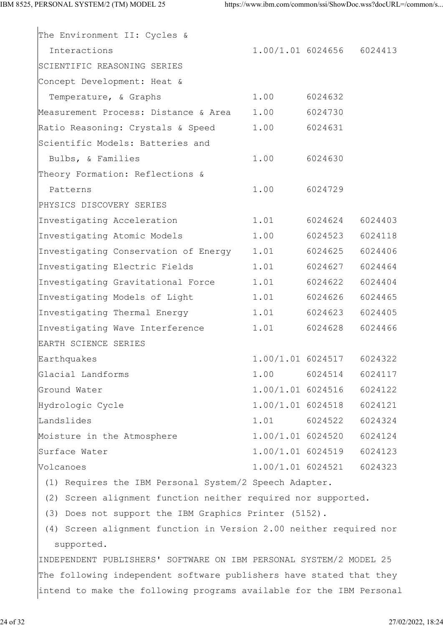| The Environment II: Cycles &                                         |                   |                           |         |
|----------------------------------------------------------------------|-------------------|---------------------------|---------|
| Interactions                                                         |                   | 1.00/1.01 6024656 6024413 |         |
| SCIENTIFIC REASONING SERIES                                          |                   |                           |         |
| Concept Development: Heat &                                          |                   |                           |         |
| Temperature, & Graphs                                                | 1.00              | 6024632                   |         |
| Measurement Process: Distance & Area 1.00                            |                   | 6024730                   |         |
| Ratio Reasoning: Crystals & Speed                                    | 1.00              | 6024631                   |         |
| Scientific Models: Batteries and                                     |                   |                           |         |
| Bulbs, & Families                                                    | 1.00              | 6024630                   |         |
| Theory Formation: Reflections &                                      |                   |                           |         |
| Patterns                                                             | 1.00              | 6024729                   |         |
| PHYSICS DISCOVERY SERIES                                             |                   |                           |         |
| Investigating Acceleration                                           | 1.01              | 6024624                   | 6024403 |
| Investigating Atomic Models                                          | 1.00              | 6024523                   | 6024118 |
| Investigating Conservation of Energy                                 | 1.01              | 6024625                   | 6024406 |
| Investigating Electric Fields                                        | 1.01              | 6024627                   | 6024464 |
| Investigating Gravitational Force                                    | 1.01              | 6024622                   | 6024404 |
| Investigating Models of Light                                        | 1.01              | 6024626                   | 6024465 |
| Investigating Thermal Energy                                         | 1.01              | 6024623                   | 6024405 |
| Investigating Wave Interference                                      | 1.01              | 6024628                   | 6024466 |
| EARTH SCIENCE SERIES                                                 |                   |                           |         |
| Earthquakes                                                          | 1.00/1.01 6024517 |                           | 6024322 |
| Glacial Landforms                                                    | 1.00              | 6024514                   | 6024117 |
| Ground Water                                                         | 1.00/1.01 6024516 |                           | 6024122 |
| Hydrologic Cycle                                                     | 1.00/1.01 6024518 |                           | 6024121 |
| Landslides                                                           | 1.01              | 6024522                   | 6024324 |
| Moisture in the Atmosphere                                           | 1.00/1.01 6024520 |                           | 6024124 |
| Surface Water                                                        | 1.00/1.01 6024519 |                           | 6024123 |
| Volcanoes                                                            | 1.00/1.01 6024521 |                           | 6024323 |
| (1) Requires the IBM Personal System/2 Speech Adapter.               |                   |                           |         |
| (2) Screen alignment function neither required nor supported.        |                   |                           |         |
| (3) Does not support the IBM Graphics Printer (5152).                |                   |                           |         |
| (4) Screen alignment function in Version 2.00 neither required nor   |                   |                           |         |
| supported.                                                           |                   |                           |         |
| INDEPENDENT PUBLISHERS' SOFTWARE ON IBM PERSONAL SYSTEM/2 MODEL 25   |                   |                           |         |
| The following independent software publishers have stated that they  |                   |                           |         |
| intend to make the following programs available for the IBM Personal |                   |                           |         |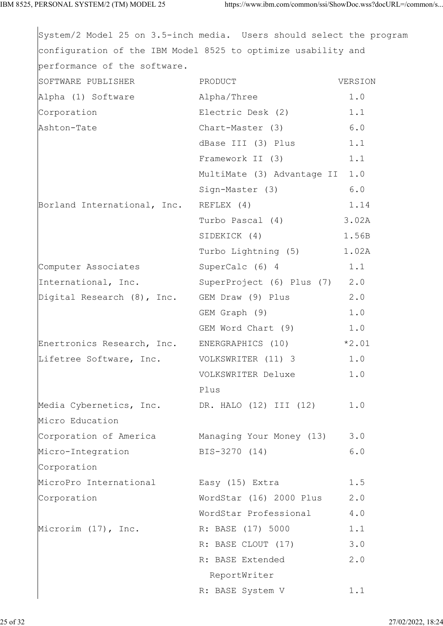| System/2 Model 25 on 3.5-inch media. Users should select the program |                                |         |
|----------------------------------------------------------------------|--------------------------------|---------|
| configuration of the IBM Model 8525 to optimize usability and        |                                |         |
| performance of the software.                                         |                                |         |
| SOFTWARE PUBLISHER                                                   | PRODUCT                        | VERSION |
| Alpha (1) Software Alpha/Three                                       |                                | 1.0     |
| Corporation                                                          | Electric Desk (2) 1.1          |         |
| Ashton-Tate                                                          | Chart-Master (3) 6.0           |         |
|                                                                      | dBase III (3) Plus 1.1         |         |
|                                                                      | Framework II (3) 1.1           |         |
|                                                                      | MultiMate (3) Advantage II 1.0 |         |
|                                                                      | Sign-Master (3)                | 6.0     |
| Borland International, Inc.                                          | REFLEX (4)                     | 1.14    |
|                                                                      | Turbo Pascal (4) 3.02A         |         |
|                                                                      | SIDEKICK (4) 1.56B             |         |
|                                                                      | Turbo Lightning (5) 1.02A      |         |
| Computer Associates                                                  | SuperCalc $(6)$ 4 1.1          |         |
| International, Inc. SuperProject (6) Plus (7) 2.0                    |                                |         |
| Digital Research (8), Inc. GEM Draw (9) Plus                         |                                | 2.0     |
|                                                                      | GEM Graph (9)                  | 1.0     |
|                                                                      | GEM Word Chart (9) 1.0         |         |
| Enertronics Research, Inc. ENERGRAPHICS (10) *2.01                   |                                |         |
| Lifetree Software, Inc. VOLKSWRITER (11) 3                           |                                | 1.0     |
|                                                                      | VOLKSWRITER Deluxe             | 1.0     |
|                                                                      | Plus                           |         |
| Media Cybernetics, Inc. DR. HALO (12) III (12)                       |                                | 1.0     |
| Micro Education                                                      |                                |         |
| Corporation of America Managing Your Money (13)                      |                                | 3.0     |
| Micro-Integration                                                    | BIS-3270 (14)                  | 6.0     |
| Corporation                                                          |                                |         |
| MicroPro International                                               | Easy (15) Extra                | 1.5     |
| Corporation                                                          | WordStar (16) 2000 Plus        | 2.0     |
|                                                                      | WordStar Professional          | 4.0     |
| Microrim (17), Inc.                                                  | R: BASE (17) 5000              | 1.1     |
|                                                                      | R: BASE CLOUT (17)             | 3.0     |
|                                                                      | R: BASE Extended               | 2.0     |
|                                                                      | ReportWriter                   |         |
|                                                                      | R: BASE System V               | 1.1     |
|                                                                      |                                |         |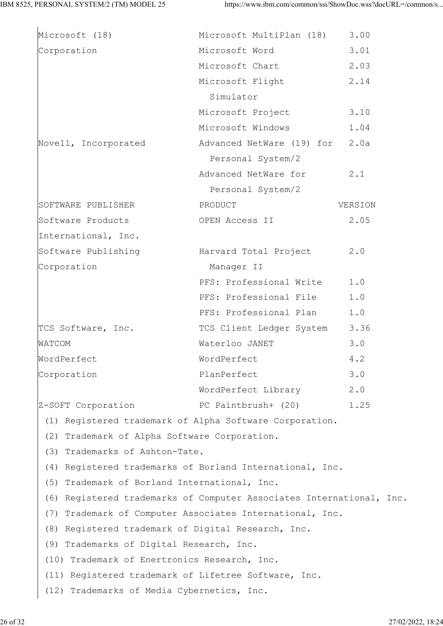| Microsoft (18)                                       | Microsoft MultiPlan (18)                                             | 3.00    |
|------------------------------------------------------|----------------------------------------------------------------------|---------|
| Corporation                                          | Microsoft Word                                                       | 3.01    |
|                                                      | Microsoft Chart                                                      | 2.03    |
|                                                      | Microsoft Flight                                                     | 2.14    |
|                                                      | Simulator                                                            |         |
|                                                      | Microsoft Project                                                    | 3.10    |
|                                                      | Microsoft Windows                                                    | 1.04    |
| Novell, Incorporated                                 | Advanced NetWare (19) for                                            | 2.0a    |
|                                                      | Personal System/2                                                    |         |
|                                                      | Advanced NetWare for                                                 | 2.1     |
|                                                      | Personal System/2                                                    |         |
| SOFTWARE PUBLISHER                                   | PRODUCT                                                              | VERSION |
| Software Products                                    | OPEN Access II                                                       | 2.05    |
| International, Inc.                                  |                                                                      |         |
| Software Publishing                                  | Harvard Total Project                                                | 2.0     |
| Corporation                                          | Manager II                                                           |         |
|                                                      | PFS: Professional Write                                              | 1.0     |
|                                                      | PFS: Professional File                                               | 1.0     |
|                                                      | PFS: Professional Plan                                               | 1.0     |
| TCS Software, Inc.                                   | TCS Client Ledger System                                             | 3.36    |
| WATCOM                                               | Waterloo JANET                                                       | 3.0     |
| WordPerfect                                          | WordPerfect                                                          | 4.2     |
| Corporation                                          | PlanPerfect                                                          | 3.0     |
|                                                      | WordPerfect Library                                                  | 2.0     |
| Z-SOFT Corporation FC Paintbrush+ (20)               |                                                                      | 1.25    |
|                                                      | (1) Registered trademark of Alpha Software Corporation.              |         |
| (2) Trademark of Alpha Software Corporation.         |                                                                      |         |
| (3) Trademarks of Ashton-Tate.                       |                                                                      |         |
|                                                      | (4) Registered trademarks of Borland International, Inc.             |         |
| (5) Trademark of Borland International, Inc.         |                                                                      |         |
|                                                      | (6) Registered trademarks of Computer Associates International, Inc. |         |
|                                                      | (7) Trademark of Computer Associates International, Inc.             |         |
| (8) Registered trademark of Digital Research, Inc.   |                                                                      |         |
| (9) Trademarks of Digital Research, Inc.             |                                                                      |         |
| (10) Trademark of Enertronics Research, Inc.         |                                                                      |         |
| (11) Registered trademark of Lifetree Software, Inc. |                                                                      |         |
| (12) Trademarks of Media Cybernetics, Inc.           |                                                                      |         |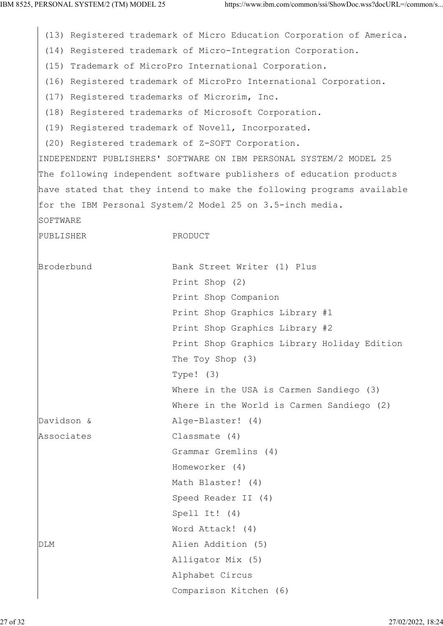(13) Registered trademark of Micro Education Corporation of America. (14) Registered trademark of Micro-Integration Corporation. (15) Trademark of MicroPro International Corporation. (16) Registered trademark of MicroPro International Corporation. (17) Registered trademarks of Microrim, Inc. (18) Registered trademarks of Microsoft Corporation. (19) Registered trademark of Novell, Incorporated. (20) Registered trademark of Z-SOFT Corporation. INDEPENDENT PUBLISHERS' SOFTWARE ON IBM PERSONAL SYSTEM/2 MODEL 25 The following independent software publishers of education products have stated that they intend to make the following programs available for the IBM Personal System/2 Model 25 on 3.5-inch media. SOFTWARE PUBLISHER PRODUCT Broderbund Bank Street Writer (1) Plus Print Shop (2) Print Shop Companion Print Shop Graphics Library #1 Print Shop Graphics Library #2 Print Shop Graphics Library Holiday Edition The Toy Shop (3) Type! (3) Where in the USA is Carmen Sandiego (3) Where in the World is Carmen Sandiego (2) Davidson & Alge-Blaster! (4) Associates Classmate (4) Grammar Gremlins (4) Homeworker (4) Math Blaster! (4) Speed Reader II (4) Spell It! (4) Word Attack! (4) DLM Alien Addition (5) Alligator Mix (5) Alphabet Circus Comparison Kitchen (6)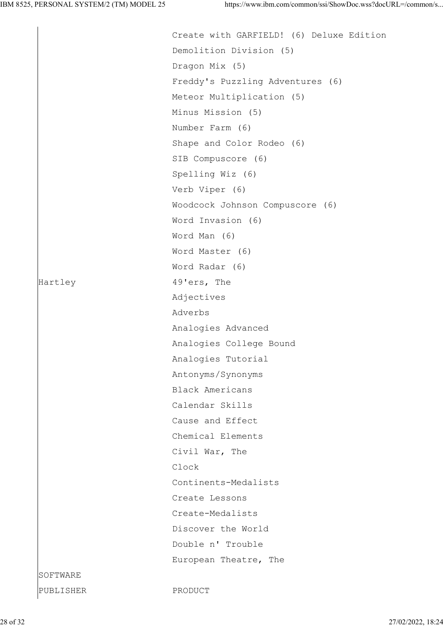|           | Create with GARFIELD! (6) Deluxe Edition |
|-----------|------------------------------------------|
|           | Demolition Division (5)                  |
|           | Dragon Mix (5)                           |
|           | Freddy's Puzzling Adventures (6)         |
|           | Meteor Multiplication (5)                |
|           | Minus Mission (5)                        |
|           | Number Farm (6)                          |
|           | Shape and Color Rodeo (6)                |
|           | SIB Compuscore (6)                       |
|           | Spelling Wiz (6)                         |
|           | Verb Viper (6)                           |
|           | Woodcock Johnson Compuscore (6)          |
|           | Word Invasion (6)                        |
|           | Word Man (6)                             |
|           | Word Master (6)                          |
|           | Word Radar (6)                           |
| Hartley   | 49'ers, The                              |
|           | Adjectives                               |
|           | Adverbs                                  |
|           | Analogies Advanced                       |
|           | Analogies College Bound                  |
|           | Analogies Tutorial                       |
|           | Antonyms/Synonyms                        |
|           | Black Americans                          |
|           | Calendar Skills                          |
|           | Cause and Effect                         |
|           | Chemical Elements                        |
|           | Civil War, The                           |
|           | Clock                                    |
|           | Continents-Medalists                     |
|           | Create Lessons                           |
|           | Create-Medalists                         |
|           | Discover the World                       |
|           | Double n' Trouble                        |
|           | European Theatre, The                    |
| SOFTWARE  |                                          |
| PUBLISHER | PRODUCT                                  |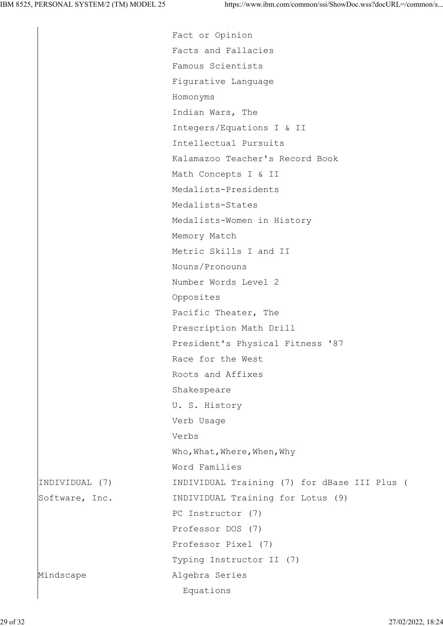Fact or Opinion Facts and Fallacies Famous Scientists Figurative Language Homonyms Indian Wars, The Integers/Equations I & II Intellectual Pursuits Kalamazoo Teacher's Record Book Math Concepts I & II Medalists-Presidents Medalists-States Medalists-Women in History Memory Match Metric Skills I and II Nouns/Pronouns Number Words Level 2 Opposites Pacific Theater, The Prescription Math Drill President's Physical Fitness '87 Race for the West Roots and Affixes Shakespeare U. S. History Verb Usage Verbs Who, What, Where, When, Why Word Families INDIVIDUAL (7) INDIVIDUAL Training (7) for dBase III Plus ( Software, Inc. TNDIVIDUAL Training for Lotus (9) PC Instructor (7) Professor DOS (7) Professor Pixel (7) Typing Instructor II (7) Mindscape **Algebra** Series Equations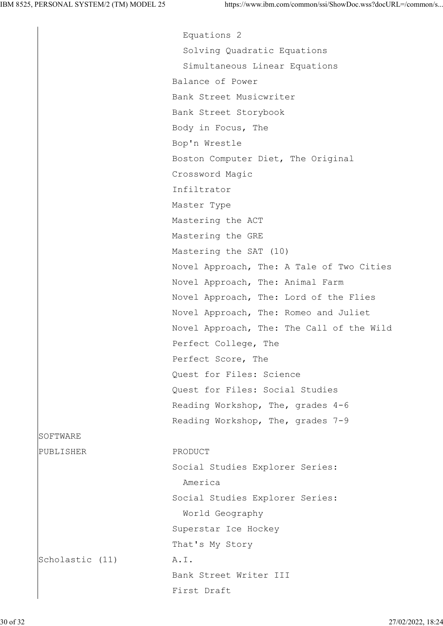Equations 2 Solving Quadratic Equations Simultaneous Linear Equations Balance of Power Bank Street Musicwriter Bank Street Storybook Body in Focus, The Bop'n Wrestle Boston Computer Diet, The Original Crossword Magic Infiltrator Master Type Mastering the ACT Mastering the GRE Mastering the SAT (10) Novel Approach, The: A Tale of Two Cities Novel Approach, The: Animal Farm Novel Approach, The: Lord of the Flies Novel Approach, The: Romeo and Juliet Novel Approach, The: The Call of the Wild Perfect College, The Perfect Score, The Quest for Files: Science Quest for Files: Social Studies Reading Workshop, The, grades 4-6 Reading Workshop, The, grades 7-9 PUBLISHER PRODUCT Social Studies Explorer Series: America Social Studies Explorer Series: World Geography Superstar Ice Hockey That's My Story Scholastic (11) A.I. Bank Street Writer III First Draft

**SOFTWARE**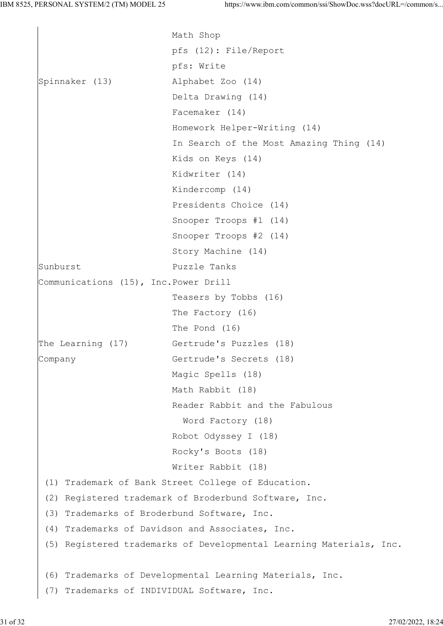Math Shop pfs (12): File/Report pfs: Write Spinnaker (13) Alphabet Zoo (14) Delta Drawing (14) Facemaker (14) Homework Helper-Writing (14) In Search of the Most Amazing Thing (14) Kids on Keys (14) Kidwriter (14) Kindercomp (14) Presidents Choice (14) Snooper Troops #1 (14) Snooper Troops #2 (14) Story Machine (14) Sunburst Puzzle Tanks Communications (15), Inc.Power Drill Teasers by Tobbs (16) The Factory (16) The Pond (16) The Learning (17) Gertrude's Puzzles (18) Company Gertrude's Secrets (18) Magic Spells (18) Math Rabbit (18) Reader Rabbit and the Fabulous Word Factory (18) Robot Odyssey I (18) Rocky's Boots (18) Writer Rabbit (18) (1) Trademark of Bank Street College of Education. (2) Registered trademark of Broderbund Software, Inc. (3) Trademarks of Broderbund Software, Inc. (4) Trademarks of Davidson and Associates, Inc. (5) Registered trademarks of Developmental Learning Materials, Inc. (6) Trademarks of Developmental Learning Materials, Inc. (7) Trademarks of INDIVIDUAL Software, Inc.